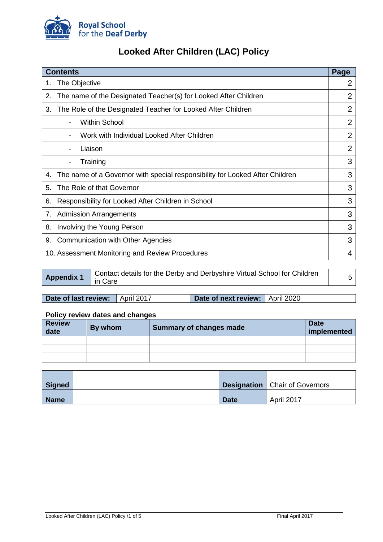

# **Looked After Children (LAC) Policy**

| <b>Contents</b>                                                                    | Page           |
|------------------------------------------------------------------------------------|----------------|
| The Objective<br>1.                                                                | 2              |
| The name of the Designated Teacher(s) for Looked After Children<br>2.              | 2              |
| The Role of the Designated Teacher for Looked After Children<br>3.                 | $\overline{2}$ |
| <b>Within School</b>                                                               | $\overline{2}$ |
| Work with Individual Looked After Children                                         | $\overline{2}$ |
| Liaison                                                                            | $\overline{2}$ |
| Training<br>$\overline{\phantom{a}}$                                               | 3              |
| The name of a Governor with special responsibility for Looked After Children<br>4. | 3              |
| The Role of that Governor<br>5.                                                    | 3              |
| Responsibility for Looked After Children in School<br>6.                           | 3              |
| <b>Admission Arrangements</b><br>7.                                                | 3              |
| Involving the Young Person<br>8.                                                   | 3              |
| <b>Communication with Other Agencies</b><br>9.                                     | 3              |
| 10. Assessment Monitoring and Review Procedures                                    | 4              |

| <b>Appendix 1</b><br>in Care | Contact details for the Derby and Derbyshire Virtual School for Children |  |
|------------------------------|--------------------------------------------------------------------------|--|
|------------------------------|--------------------------------------------------------------------------|--|

| <b>Date of last review:</b> April 2017 |  | Date of next review:   April 2020 |  |
|----------------------------------------|--|-----------------------------------|--|
|----------------------------------------|--|-----------------------------------|--|

## **Policy review dates and changes**

| <b>Review</b><br>date | By whom | <b>Summary of changes made</b> | <b>Date</b><br>implemented |
|-----------------------|---------|--------------------------------|----------------------------|
|                       |         |                                |                            |
|                       |         |                                |                            |
|                       |         |                                |                            |

| <b>Signed</b> |             | <b>Designation</b>   Chair of Governors |
|---------------|-------------|-----------------------------------------|
| <b>Name</b>   | <b>Date</b> | April 2017                              |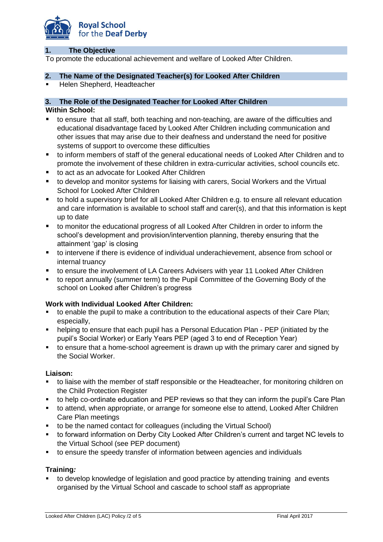

#### **1. The Objective**

To promote the educational achievement and welfare of Looked After Children.

#### **2. The Name of the Designated Teacher(s) for Looked After Children**

Helen Shepherd, Headteacher

#### **3. The Role of the Designated Teacher for Looked After Children**

#### **Within School:**

- to ensure that all staff, both teaching and non-teaching, are aware of the difficulties and educational disadvantage faced by Looked After Children including communication and other issues that may arise due to their deafness and understand the need for positive systems of support to overcome these difficulties
- to inform members of staff of the general educational needs of Looked After Children and to promote the involvement of these children in extra-curricular activities, school councils etc.
- to act as an advocate for Looked After Children
- to develop and monitor systems for liaising with carers, Social Workers and the Virtual School for Looked After Children
- to hold a supervisory brief for all Looked After Children e.g. to ensure all relevant education and care information is available to school staff and carer(s), and that this information is kept up to date
- to monitor the educational progress of all Looked After Children in order to inform the school's development and provision/intervention planning, thereby ensuring that the attainment 'gap' is closing
- to intervene if there is evidence of individual underachievement, absence from school or internal truancy
- to ensure the involvement of LA Careers Advisers with year 11 Looked After Children
- to report annually (summer term) to the Pupil Committee of the Governing Body of the school on Looked after Children's progress

#### **Work with Individual Looked After Children:**

- to enable the pupil to make a contribution to the educational aspects of their Care Plan; especially,
- helping to ensure that each pupil has a Personal Education Plan PEP (initiated by the pupil's Social Worker) or Early Years PEP (aged 3 to end of Reception Year)
- to ensure that a home-school agreement is drawn up with the primary carer and signed by the Social Worker.

#### **Liaison:**

- to liaise with the member of staff responsible or the Headteacher, for monitoring children on the Child Protection Register
- to help co-ordinate education and PEP reviews so that they can inform the pupil's Care Plan
- to attend, when appropriate, or arrange for someone else to attend, Looked After Children Care Plan meetings
- to be the named contact for colleagues (including the Virtual School)
- to forward information on Derby City Looked After Children's current and target NC levels to the Virtual School (see PEP document)
- to ensure the speedy transfer of information between agencies and individuals

#### **Training***:*

 to develop knowledge of legislation and good practice by attending training and events organised by the Virtual School and cascade to school staff as appropriate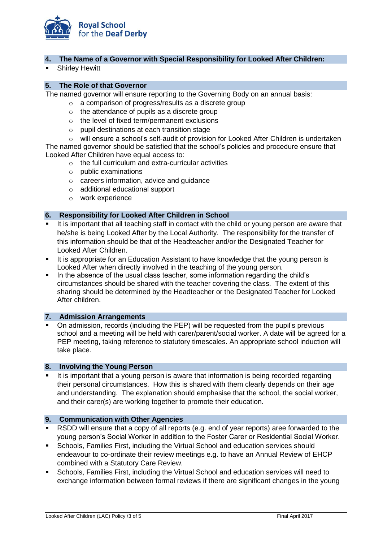

#### **4. The Name of a Governor with Special Responsibility for Looked After Children:**

Shirley Hewitt

#### **5. The Role of that Governor**

The named governor will ensure reporting to the Governing Body on an annual basis:

- o a comparison of progress/results as a discrete group
- $\circ$  the attendance of pupils as a discrete group
- o the level of fixed term/permanent exclusions
- o pupil destinations at each transition stage

o will ensure a school's self-audit of provision for Looked After Children is undertaken The named governor should be satisfied that the school's policies and procedure ensure that Looked After Children have equal access to:

- $\circ$  the full curriculum and extra-curricular activities
- o public examinations
- o careers information, advice and guidance
- o additional educational support
- o work experience

### **6. Responsibility for Looked After Children in School**

- It is important that all teaching staff in contact with the child or young person are aware that he/she is being Looked After by the Local Authority. The responsibility for the transfer of this information should be that of the Headteacher and/or the Designated Teacher for Looked After Children.
- It is appropriate for an Education Assistant to have knowledge that the young person is Looked After when directly involved in the teaching of the young person.
- In the absence of the usual class teacher, some information regarding the child's circumstances should be shared with the teacher covering the class. The extent of this sharing should be determined by the Headteacher or the Designated Teacher for Looked After children.

#### **7. Admission Arrangements**

 On admission, records (including the PEP) will be requested from the pupil's previous school and a meeting will be held with carer/parent/social worker. A date will be agreed for a PEP meeting, taking reference to statutory timescales. An appropriate school induction will take place.

#### **8. Involving the Young Person**

It is important that a young person is aware that information is being recorded regarding their personal circumstances. How this is shared with them clearly depends on their age and understanding. The explanation should emphasise that the school, the social worker, and their carer(s) are working together to promote their education.

#### **9. Communication with Other Agencies**

- RSDD will ensure that a copy of all reports (e.g. end of year reports) aree forwarded to the young person's Social Worker in addition to the Foster Carer or Residential Social Worker.
- Schools, Families First, including the Virtual School and education services should endeavour to co-ordinate their review meetings e.g. to have an Annual Review of EHCP combined with a Statutory Care Review.
- Schools, Families First, including the Virtual School and education services will need to exchange information between formal reviews if there are significant changes in the young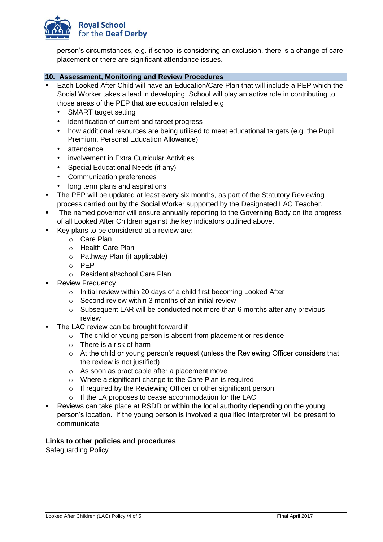

person's circumstances, e.g. if school is considering an exclusion, there is a change of care placement or there are significant attendance issues.

#### **10. Assessment, Monitoring and Review Procedures**

- Each Looked After Child will have an Education/Care Plan that will include a PEP which the Social Worker takes a lead in developing. School will play an active role in contributing to those areas of the PEP that are education related e.g.
	- SMART target setting
	- identification of current and target progress
	- how additional resources are being utilised to meet educational targets (e.g. the Pupil Premium, Personal Education Allowance)
	- attendance
	- involvement in Extra Curricular Activities
	- Special Educational Needs (if any)
	- Communication preferences
	- long term plans and aspirations
- The PEP will be updated at least every six months, as part of the Statutory Reviewing process carried out by the Social Worker supported by the Designated LAC Teacher.
- The named governor will ensure annually reporting to the Governing Body on the progress of all Looked After Children against the key indicators outlined above.
- Key plans to be considered at a review are:
	- o Care Plan
	- o Health Care Plan
	- o Pathway Plan (if applicable)
	- o PEP
	- o Residential/school Care Plan
- Review Frequency
	- o Initial review within 20 days of a child first becoming Looked After
	- $\circ$  Second review within 3 months of an initial review
	- o Subsequent LAR will be conducted not more than 6 months after any previous review
- The LAC review can be brought forward if
	- o The child or young person is absent from placement or residence
	- $\circ$  There is a risk of harm
	- o At the child or young person's request (unless the Reviewing Officer considers that the review is not justified)
	- o As soon as practicable after a placement move
	- o Where a significant change to the Care Plan is required
	- o If required by the Reviewing Officer or other significant person
	- o If the LA proposes to cease accommodation for the LAC
- Reviews can take place at RSDD or within the local authority depending on the young person's location. If the young person is involved a qualified interpreter will be present to communicate

#### **Links to other policies and procedures**

Safeguarding Policy